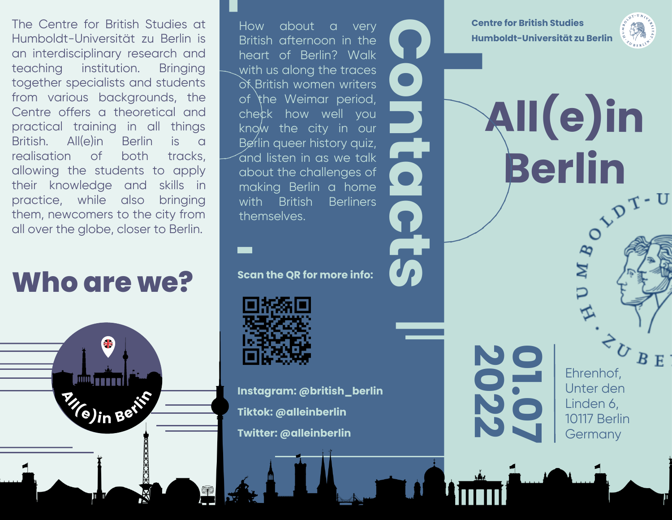The Centre for British Studies at Humboldt-Universität zu Berlin is an interdisciplinary research and teaching institution. Bringing together specialists and students from various backgrounds, the Centre offers a theoretical and practical training in all things British. All(e)in Berlin is a realisation of both tracks, allowing the students to apply their knowledge and skills in practice, while also bringing them, newcomers to the city from all over the globe, closer to Berlin.

# **Who are we?**

 $\left($ **e**)**in**  $B$ **e**<sup>t</sup>

ok B<br>of the check<br>know Berli  $\sim$ and listen in as we talk \_\_ How about a very British afternoon in the heart of Berlin? Walk with us along the traces of British women writers of the Weimar period, check how well you know the city in our Berlin queer history quiz, about the challenges of making Berlin a home with British Berliners themselves.

**Scan the QR for more info:**



**Instagram: @british\_berlin Tiktok: @alleinberlin Twitter: @alleinberlin**

**Centre for British Studies Humboldt-Universität zu Berlin**

**All(e)in<br>Berlin**<br>C<sup>ypt</sup>

**C**

**o**

**n**

**t**

**a**

**c**

**t**

**s**

**0**

**1 .**

**7**

**0 2**

**2**

 $\angle$ 

 $\overline{\phantom{0}}$ 

**0**

**2**



 $B E$ Ehrenhof, Unter den Linden 6, 10117 Berlin **Germany** 

**Berlin**